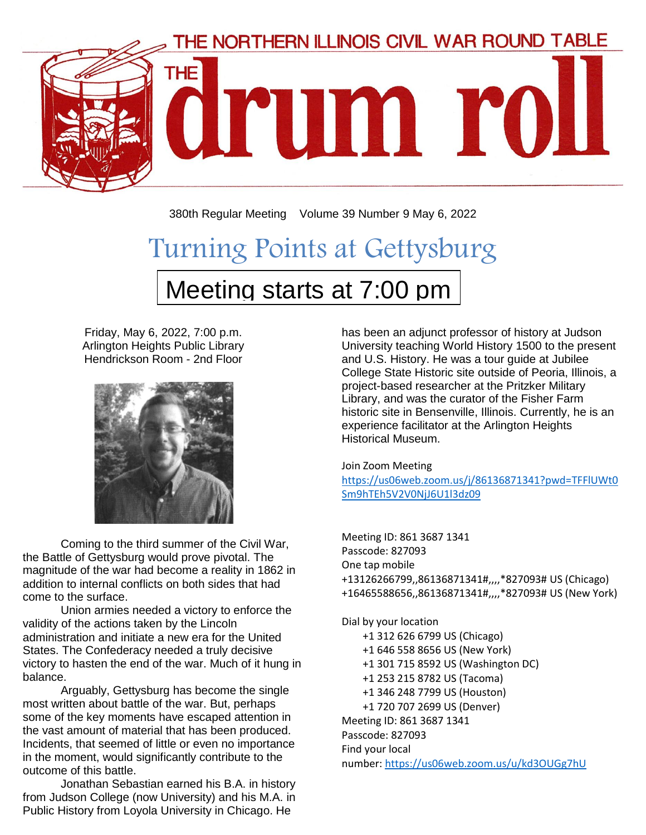

380th Regular Meeting Volume 39 Number 9 May 6, 2022

# Turning Points at Gettysburg Meeting starts at 7:00 pm

Friday, May 6, 2022, 7:00 p.m. Arlington Heights Public Library Hendrickson Room - 2nd Floor



Coming to the third summer of the Civil War, the Battle of Gettysburg would prove pivotal. The magnitude of the war had become a reality in 1862 in addition to internal conflicts on both sides that had come to the surface.

Union armies needed a victory to enforce the validity of the actions taken by the Lincoln administration and initiate a new era for the United States. The Confederacy needed a truly decisive victory to hasten the end of the war. Much of it hung in balance.

Arguably, Gettysburg has become the single most written about battle of the war. But, perhaps some of the key moments have escaped attention in the vast amount of material that has been produced. Incidents, that seemed of little or even no importance in the moment, would significantly contribute to the outcome of this battle.

Jonathan Sebastian earned his B.A. in history from Judson College (now University) and his M.A. in Public History from Loyola University in Chicago. He

has been an adjunct professor of history at Judson University teaching World History 1500 to the present and U.S. History. He was a tour guide at Jubilee College State Historic site outside of Peoria, Illinois, a project-based researcher at the Pritzker Military Library, and was the curator of the Fisher Farm historic site in Bensenville, Illinois. Currently, he is an experience facilitator at the Arlington Heights Historical Museum.

#### Join Zoom Meeting

[https://us06web.zoom.us/j/86136871341?pwd=TFFlUWt0](https://us06web.zoom.us/j/86136871341?pwd=TFFlUWt0Sm9hTEh5V2V0NjJ6U1l3dz09) [Sm9hTEh5V2V0NjJ6U1l3dz09](https://us06web.zoom.us/j/86136871341?pwd=TFFlUWt0Sm9hTEh5V2V0NjJ6U1l3dz09)

Meeting ID: 861 3687 1341 Passcode: 827093 One tap mobile +13126266799,,86136871341#,,,,\*827093# US (Chicago) +16465588656,,86136871341#,,,,\*827093# US (New York)

Dial by your location

 +1 312 626 6799 US (Chicago) +1 646 558 8656 US (New York) +1 301 715 8592 US (Washington DC) +1 253 215 8782 US (Tacoma) +1 346 248 7799 US (Houston) +1 720 707 2699 US (Denver) Meeting ID: 861 3687 1341 Passcode: 827093 Find your local number: <https://us06web.zoom.us/u/kd3OUGg7hU>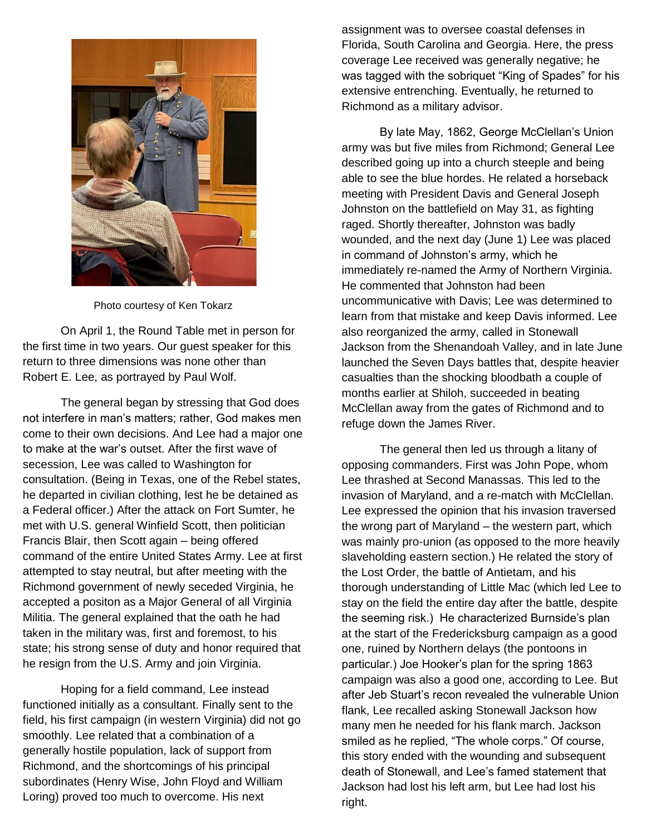

Photo courtesy of Ken Tokarz

On April 1, the Round Table met in person for the first time in two years. Our guest speaker for this return to three dimensions was none other than Robert E. Lee, as portrayed by Paul Wolf.

The general began by stressing that God does not interfere in man's matters; rather, God makes men come to their own decisions. And Lee had a major one to make at the war's outset. After the first wave of secession, Lee was called to Washington for consultation. (Being in Texas, one of the Rebel states, he departed in civilian clothing, lest he be detained as a Federal officer.) After the attack on Fort Sumter, he met with U.S. general Winfield Scott, then politician Francis Blair, then Scott again – being offered command of the entire United States Army. Lee at first attempted to stay neutral, but after meeting with the Richmond government of newly seceded Virginia, he accepted a positon as a Major General of all Virginia Militia. The general explained that the oath he had taken in the military was, first and foremost, to his state; his strong sense of duty and honor required that he resign from the U.S. Army and join Virginia.

Hoping for a field command, Lee instead functioned initially as a consultant. Finally sent to the field, his first campaign (in western Virginia) did not go smoothly. Lee related that a combination of a generally hostile population, lack of support from Richmond, and the shortcomings of his principal subordinates (Henry Wise, John Floyd and William Loring) proved too much to overcome. His next

assignment was to oversee coastal defenses in Florida, South Carolina and Georgia. Here, the press coverage Lee received was generally negative; he was tagged with the sobriquet "King of Spades" for his extensive entrenching. Eventually, he returned to Richmond as a military advisor.

By late May, 1862, George McClellan's Union army was but five miles from Richmond; General Lee described going up into a church steeple and being able to see the blue hordes. He related a horseback meeting with President Davis and General Joseph Johnston on the battlefield on May 31, as fighting raged. Shortly thereafter, Johnston was badly wounded, and the next day (June 1) Lee was placed in command of Johnston's army, which he immediately re-named the Army of Northern Virginia. He commented that Johnston had been uncommunicative with Davis; Lee was determined to learn from that mistake and keep Davis informed. Lee also reorganized the army, called in Stonewall Jackson from the Shenandoah Valley, and in late June launched the Seven Days battles that, despite heavier casualties than the shocking bloodbath a couple of months earlier at Shiloh, succeeded in beating McClellan away from the gates of Richmond and to refuge down the James River.

The general then led us through a litany of opposing commanders. First was John Pope, whom Lee thrashed at Second Manassas. This led to the invasion of Maryland, and a re-match with McClellan. Lee expressed the opinion that his invasion traversed the wrong part of Maryland – the western part, which was mainly pro-union (as opposed to the more heavily slaveholding eastern section.) He related the story of the Lost Order, the battle of Antietam, and his thorough understanding of Little Mac (which led Lee to stay on the field the entire day after the battle, despite the seeming risk.) He characterized Burnside's plan at the start of the Fredericksburg campaign as a good one, ruined by Northern delays (the pontoons in particular.) Joe Hooker's plan for the spring 1863 campaign was also a good one, according to Lee. But after Jeb Stuart's recon revealed the vulnerable Union flank, Lee recalled asking Stonewall Jackson how many men he needed for his flank march. Jackson smiled as he replied, "The whole corps." Of course, this story ended with the wounding and subsequent death of Stonewall, and Lee's famed statement that Jackson had lost his left arm, but Lee had lost his right.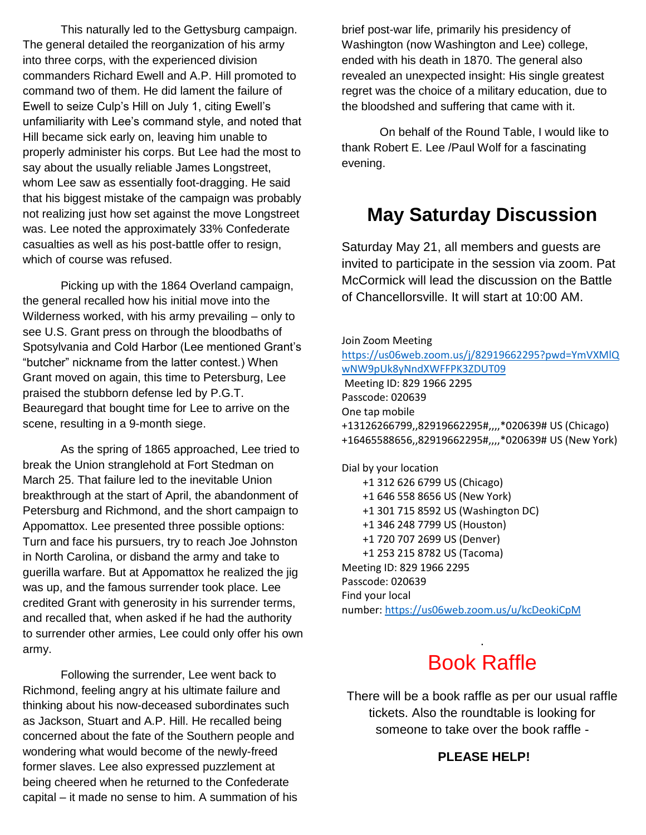This naturally led to the Gettysburg campaign. The general detailed the reorganization of his army into three corps, with the experienced division commanders Richard Ewell and A.P. Hill promoted to command two of them. He did lament the failure of Ewell to seize Culp's Hill on July 1, citing Ewell's unfamiliarity with Lee's command style, and noted that Hill became sick early on, leaving him unable to properly administer his corps. But Lee had the most to say about the usually reliable James Longstreet, whom Lee saw as essentially foot-dragging. He said that his biggest mistake of the campaign was probably not realizing just how set against the move Longstreet was. Lee noted the approximately 33% Confederate casualties as well as his post-battle offer to resign, which of course was refused.

Picking up with the 1864 Overland campaign, the general recalled how his initial move into the Wilderness worked, with his army prevailing – only to see U.S. Grant press on through the bloodbaths of Spotsylvania and Cold Harbor (Lee mentioned Grant's "butcher" nickname from the latter contest.) When Grant moved on again, this time to Petersburg, Lee praised the stubborn defense led by P.G.T. Beauregard that bought time for Lee to arrive on the scene, resulting in a 9-month siege.

As the spring of 1865 approached, Lee tried to break the Union stranglehold at Fort Stedman on March 25. That failure led to the inevitable Union breakthrough at the start of April, the abandonment of Petersburg and Richmond, and the short campaign to Appomattox. Lee presented three possible options: Turn and face his pursuers, try to reach Joe Johnston in North Carolina, or disband the army and take to guerilla warfare. But at Appomattox he realized the jig was up, and the famous surrender took place. Lee credited Grant with generosity in his surrender terms, and recalled that, when asked if he had the authority to surrender other armies, Lee could only offer his own army.

Following the surrender, Lee went back to Richmond, feeling angry at his ultimate failure and thinking about his now-deceased subordinates such as Jackson, Stuart and A.P. Hill. He recalled being concerned about the fate of the Southern people and wondering what would become of the newly-freed former slaves. Lee also expressed puzzlement at being cheered when he returned to the Confederate capital – it made no sense to him. A summation of his brief post-war life, primarily his presidency of Washington (now Washington and Lee) college, ended with his death in 1870. The general also revealed an unexpected insight: His single greatest regret was the choice of a military education, due to the bloodshed and suffering that came with it.

On behalf of the Round Table, I would like to thank Robert E. Lee /Paul Wolf for a fascinating evening.

## **May Saturday Discussion**

Saturday May 21, all members and guests are invited to participate in the session via zoom. Pat McCormick will lead the discussion on the Battle of Chancellorsville. It will start at 10:00 AM.

Join Zoom Meeting [https://us06web.zoom.us/j/82919662295?pwd=YmVXMlQ](https://us06web.zoom.us/j/82919662295?pwd=YmVXMlQwNW9pUk8yNndXWFFPK3ZDUT09) [wNW9pUk8yNndXWFFPK3ZDUT09](https://us06web.zoom.us/j/82919662295?pwd=YmVXMlQwNW9pUk8yNndXWFFPK3ZDUT09) Meeting ID: 829 1966 2295 Passcode: 020639 One tap mobile +13126266799,,82919662295#,,,,\*020639# US (Chicago) +16465588656,,82919662295#,,,,\*020639# US (New York) Dial by your location +1 312 626 6799 US (Chicago) +1 646 558 8656 US (New York) +1 301 715 8592 US (Washington DC) +1 346 248 7799 US (Houston) +1 720 707 2699 US (Denver) +1 253 215 8782 US (Tacoma) Meeting ID: 829 1966 2295 Passcode: 020639 Find your local number: <https://us06web.zoom.us/u/kcDeokiCpM>

## . Book Raffle

There will be a book raffle as per our usual raffle tickets. Also the roundtable is looking for someone to take over the book raffle -

#### **PLEASE HELP!**